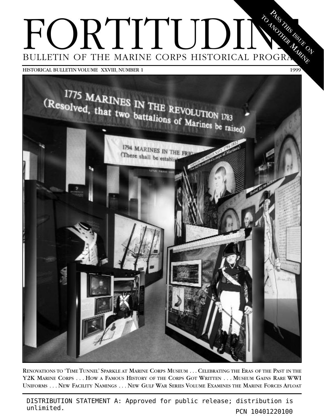#### FORTITUDIN BULLETIN OF THE MARINE CORPS HISTORICAL PROGRA  $\breve{\mathcal{S}}$  $\delta_{\rm s}$ TANS ISSUE<br>A  $\mathbf{Q}_p$ ANOTHER MARINE

HISTORICAL BULLETIN VOLUME XXVIII, NUMBER 1 1999



RENOVATIONS TO 'TIME TUNNEL' SPARKLE AT MARINE CORPS MUSEUM ...CELEBRATING THE ERAS OF THE PAST IN THE Y2K MARINE CORPS . . . HOW A FAMOUS HISTORY OF THE CORPS GOT WRITTEN . . . MUSEUM GAINS RARE WWI UNIFORMS . . . NEW FACILITY NAMINGS . . . NEW GULF WAR SERIES VOLUME EXAMINES THE MARINE FORCES AFLOAT

DISTRIBUTION STATEMENT A: Approved for public release; distribution is unlimited.<br>
PCN 10401220100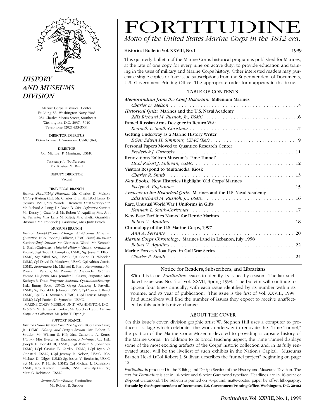

### *HISTORY AND MUSEUMS DIVISION*

Marine Corps Historical Center Building 58, Washington Navy Yard 1254 Charles Morris Street, Southeast Washington, D.C. 20374-5040 Telephone (202) 433-3534

DIRECTOR EMERITUS BGen Edwin H. Simmons, USMC (Ret)

DIRECTOR Col Michael F. Monigan, USMC

*Secretary to the Director*: Ms. Kristen M. Reed

> DEPUTY DIRECTOR Vacant

#### HISTORICAL BRANCH

*Branch Head/Chief Historian:* Mr. Charles D. Melson. *History Writing Unit:* Mr. Charles R. Smith; LtCol Leroy D. Stearns, USMC; Mrs. Wanda F. Renfrow. *Oral History Unit:* Mr. Richard A. Long; Dr. David B. Crist. *Reference Section:* Mr. Danny J. Crawford; Mr. Robert V. Aquilina; Mrs. Ann A. Ferrante; Miss Lena M. Kaljot; Mrs. Shelia Gramblin. *Archives:* Mr. Frederick J. Graboske; Miss Judy Petsch*.*

#### MUSEUMS BRANCH

*Branch Head/Officer-in-Charge, Air-Ground Museum, Quantico:* LtCol Robert J. Sullivan, USMC. *Head, Museums Section/Chief Curator*: Mr. Charles A. Wood. Mr. Kenneth L. Smith-Christmas, *Material History;* Vacant, *Ordnance;* Vacant, SSgt Troy H. Lumpkin, USMC, Sgt Jesse C. Elliott, USMC, Sgt Vibol Svy, USMC, Sgt Cedric D. Wheeler, USMC, Cpl David D. Meadows, USMC, Cpl Adrian Garcia, USMC, *Restoration;* Mr. Michael E. Starn, *Aeronautics;* Mr. Ronald J. Perkins, Mr. Ronnie D. Alexander, *Exhibits;* Vacant, *Uniforms;* Mrs. Jennifer L. Castro, *Registrar;* Mrs. Kathryn R. Trout, *Programs Assistant. Operations/Security:* 1stLt Jimmy Scott, USMC; GySgt Anthony J. Pastella, USMC; Sgt Donald E. Johnson, USMC; Cpl Yaron T. Reed, USMC; Cpl B. L. Stroman, USMC; LCpl Larrissa Morgan, USMC; LCpl Patrick D. Symecko, USMC.

MARINE CORPS MUSEUM UNIT, WASHINGTON, D.C. *Exhibits:* Mr. James A. Fairfax; Mr. Gordon Heim. *Marine Corps Art Collection:* Mr. John T. Dyer, Jr.

#### SUPPORT BRANCH

*Branch Head/Division Executive Officer:* LtCol Leon Craig, Jr., USMC. *Editing and Design Section:* Mr. Robert E. Struder; Mr. William S. Hill; Mrs. Catherine A. Kerns. *Library:* Miss Evelyn A. Englander. *Administration:* 1stLt Joseph E. Donald III, USMC; SSgt Robert A. Johannes, USMC; LCpl Cassius B. Cardio, USMC; LCpl Ryan O. Ohnstad, USMC; LCpl Jeremy R. Nelson, USMC; LCpl Michael D. Dilger, USMC; Sgt Joslyn V. Benjamin, USMC; Sgt Marello P. Harris, USMC; Cpl Michael L. Danielson, USMC; LCpl Karlton T. Smith, USMC. *Security Unit:* Sgt Marc G. Robinson, USMC.

> *Senior Editor/Editor,* Fortitudine Mr. Robert E. Struder

### FORTITUDINE *Motto of the United States Marine Corps in the 1812 era.*

#### Historical Bulletin Vol. XXVIII, No.1 1999

This quarterly bulletin of the Marine Corps historical program is published for Marines, at the rate of one copy for every nine on active duty, to provide education and training in the uses of military and Marine Corps history. Other interested readers may purchase single copies or four-issue subscriptions from the Superintendent of Documents, U.S. Government Printing Office. The appropriate order form appears in this issue.

#### TABLE OF CONTENTS

| Memorandum from the Chief Historian: Millenium Marines             |
|--------------------------------------------------------------------|
|                                                                    |
| Historical Quiz: Marines and the U.S. Naval Academy                |
|                                                                    |
| Famed Russian Arms Designer in Return Visit                        |
|                                                                    |
| Getting Underway as a Marine History Writer                        |
|                                                                    |
| Personal Papers Moved to Quantico Research Center                  |
|                                                                    |
| Renovations Enliven Museum's 'Time Tunnel'                         |
|                                                                    |
| Visitors Respond to 'Multimedia' Kiosk                             |
|                                                                    |
| New Books: New Histories Highlight 'Old Corps' Marines             |
|                                                                    |
| Answers to the Historical Quiz: Marines and the U.S. Naval Academy |
|                                                                    |
| Rare, Unusual World War I Uniforms in Gifts                        |
|                                                                    |
| New Base Facilities Named for Heroic Marines                       |
|                                                                    |
| Chronology of the U.S. Marine Corps, 1997                          |
|                                                                    |
| Marine Corps Chronology: Marines Land in Lebanon, July 1958        |
|                                                                    |
| Marine Forces Afloat Eyed in Gulf War Series                       |
|                                                                    |

#### Notice for Readers, Subscribers, and Librarians

With this issue, *Fortitudine* ceases to identify its issues by season. The last-such dated issue was No. 4 of Vol. XXVII, Spring 1998. The bulletin will continue to appear four times annually, with each issue identified by its number within its volume, and its year of publication. This issue is the first of Vol. XXVIII, 1999. Paid subscribers will find the number of issues they expect to receive unaffected by this administrative change.

#### ABOUT THE COVER

On this issue's cover, division graphic artist W. Stephen Hill uses a computer to produce a collage which celebrates the work underway to renovate the "Time Tunnel," the portion of the Marine Corps Museum devoted to providing a capsule history of the Marine Corps. In addition to its broad teaching aspect, the Time Tunnel displays some of the most exciting artifacts of the Corps' historic collection and, in its fully renovated state, will be the liveliest of such exhibits in the Nation's Capital. Museums Branch Head LtCol Robert J. Sullivan describes the "tunnel project" beginning on page 12.

*Fortitudine* is produced in the Editing and Design Section of the History and Museums Division. The text for *Fortitudine* is set in 10-point and 8-point Garamond typeface. Headlines are in 18-point or 24-point Garamond. The bulletin is printed on 70-pound, matte-coated paper by offset lithography. **For sale by the Superintendent of Documents, U.S. Government Printing Office, Washington, D.C. 20402**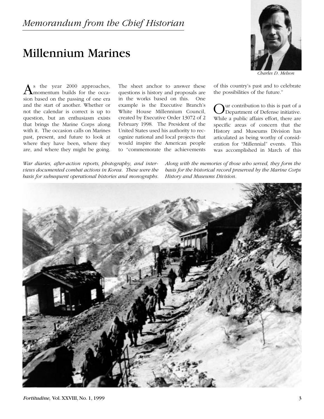# Millennium Marines



*Charles D. Melson*

of this country's past and to celebrate

Our contribution to this is part of a<br>Department of Defense initiative. While a public affairs effort, there are specific areas of concern that the History and Museums Division has articulated as being worthy of consideration for "Millennial" events. This was accomplished in March of this

the possibilities of the future."

s the year 2000 approaches, momentum builds for the occasion based on the passing of one era and the start of another. Whether or not the calendar is correct is up to question, but an enthusiasm exists that brings the Marine Corps along with it. The occasion calls on Marines past, present, and future to look at where they have been, where they are, and where they might be going.

The sheet anchor to answer these questions is history and proposals are in the works based on this. One example is the Executive Branch's White House Millennium Council, created by Executive Order 13072 of 2 February 1998. The President of the United States used his authority to recognize national and local projects that would inspire the American people to "commemorate the achievements

*War diaries, after-action reports, photography, and interviews documented combat actions in Korea. These were the basis for subsequent operational histories and monographs.* *Along with the memories of those who served, they form the basis for the historical record preserved by the Marine Corps History and Museums Division.*

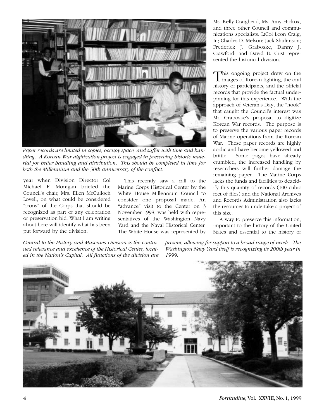

*Paper records are limited in copies, occupy space, and suffer with time and handling. A Korean War digitization project is engaged in preserving historic material for better handling and distribution. This should be completed in time for both the Millennium and the 50th anniversary of the conflict.*

year when Division Director Col Michael F. Monigan briefed the Council's chair, Mrs. Ellen McCulloch Lovell, on what could be considered "icons" of the Corps that should be recognized as part of any celebration or preservation bid. What I am writing about here will identify what has been put forward by the division.

This recently saw a call to the Marine Corps Historical Center by the White House Millennium Council to consider one proposal made. An "advance" visit to the Center on 3 November 1998, was held with representatives of the Washington Navy Yard and the Naval Historical Center. The White House was represented by Ms. Kelly Craighead, Ms. Amy Hickox, and three other Council and communications specialists. LtCol Leon Craig, Jr.; Charles D. Melson; Jack Shulimson; Frederick J. Graboske; Danny J. Crawford; and David B. Crist represented the historical division.

This ongoing project drew on the<br>images of Korean fighting, the oral history of participants, and the official records that provide the factual underpinning for this experience. With the approach of Veteran's Day, the "hook" that caught the Council's interest was Mr. Graboske's proposal to digitize Korean War records. The purpose is to preserve the various paper records of Marine operations from the Korean War. These paper records are highly acidic and have become yellowed and brittle. Some pages have already crumbled; the increased handling by researchers will further damage the remaining paper. The Marine Corps lacks the funds and facilities to deacidify this quantity of records (100 cubic feet of files) and the National Archives and Records Administration also lacks the resources to undertake a project of this size.

A way to preserve this information, important to the history of the United States and essential to the history of

*Central to the History and Museums Division is the continued relevance and excellence of the Historical Center, located in the Nation's Capital. All functions of the division are*

*present, allowing for support to a broad range of needs. The Washington Navy Yard itself is recognizing its 200th year in 1999.*



4 *Fortitudine,* Vol. XXVIII, No. 1, 1999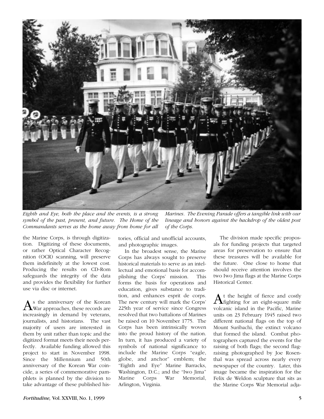

*Eighth and Eye, both the place and the events, is a strong symbol of the past, present, and future. The Home of the Commandants serves as the home away from home for all*

*Marines. The Evening Parade offers a tangible link with our lineage and honors against the backdrop of the oldest post of the Corps.*

the Marine Corps, is through digitization. Digitizing of these documents, or rather Optical Character Recognition (OCR) scanning, will preserve them indefinitely at the lowest cost. Producing the results on CD-Rom safeguards the integrity of the data and provides the flexibility for further use via disc or internet.

As the anniversary of the Korean War approaches, these records are increasingly in demand by veterans, journalists, and historians. The vast majority of users are interested in them by unit rather than topic and the digitized format meets their needs perfectly. Available funding allowed this project to start in November 1998. Since the Millennium and 50th anniversary of the Korean War coincide, a series of commemorative pamphlets is planned by the division to take advantage of these published histories, official and unofficial accounts, and photographic images.

In the broadest sense, the Marine Corps has always sought to preserve historical materials to serve as an intellectual and emotional basis for accomplishing the Corps' mission. This forms the basis for operations and education, gives substance to tradition, and enhances esprit de corps. The new century will mark the Corps' 225th year of service since Congress resolved that two battalions of Marines be raised on 10 November 1775. The Corps has been intrinsically woven into the proud history of the nation. In turn, it has produced a variety of symbols of national significance to include the Marine Corps "eagle, globe, and anchor" emblem; the "Eighth and Eye" Marine Barracks, Washington, D.C.; and the "Iwo Jima" Marine Corps War Memorial, Arlington, Virginia.

The division made specific proposals for funding projects that targeted areas for preservation to ensure that these treasures will be available for the future. One close to home that should receive attention involves the two Iwo Jima flags at the Marine Corps Historical Center.

At the height of fierce and costly fighting for an eight-square mile volcanic island in the Pacific, Marine units on 23 February 1945 raised two different national flags on the top of Mount Suribachi, the extinct volcano that formed the island. Combat photographers captured the events for the raising of both flags; the second flagraising photographed by Joe Rosenthal was spread across nearly every newspaper of the country. Later, this image became the inspiration for the Felix de Weldon sculpture that sits as the Marine Corps War Memorial adja-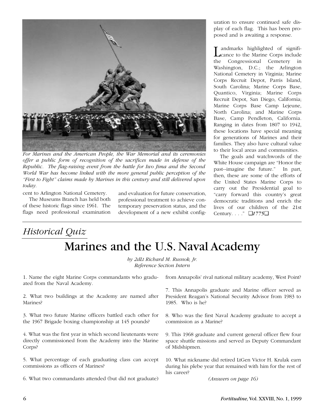

*For Marines and the American People, the War Memorial and its ceremonies offer a public form of recognition of the sacrifices made in defense of the Republic. The flag-raising event from the battle for Iwo Jima and the Second World War has become linked with the more general public perception of the "First to Fight" claims made by Marines in this century and still delivered upon today.*

cent to Arlington National Cemetery.

The Museums Branch has held both of these historic flags since 1961. The flags need professional examination

and evaluation for future conservation, professional treatment to achieve contemporary preservation status, and the development of a new exhibit configuration to ensure continued safe display of each flag. This has been proposed and is awaiting a response.

Landmarks highlighted of signifi-cance to the Marine Corps include the Congressional Cemetery in Washington, D.C.; the Arlington National Cemetery in Virginia; Marine Corps Recruit Depot, Parris Island, South Carolina; Marine Corps Base, Quantico, Virginia; Marine Corps Recruit Depot, San Diego, California; Marine Corps Base Camp Lejeune, North Carolina; and Marine Corps Base, Camp Pendleton, California. Ranging in dates from 1807 to 1942, these locations have special meaning for generations of Marines and their families. They also have cultural value to their local areas and communities.

The goals and watchwords of the White House campaign are "Honor the past--imagine the future." In part, then, these are some of the efforts of the United States Marine Corps to carry out the Presidential goal to "carry forward this country's great democratic traditions and enrich the lives of our children of the 21st Century. . . ." ❑*1775*❑

## *Historical Quiz* Marines and the U.S. Naval Academy

*by 2dLt Richard M. Rusnok, Jr. Reference Section Intern*

1. Name the eight Marine Corps commandants who graduated from the Naval Academy.

2. What two buildings at the Academy are named after Marines?

3. What two future Marine officers battled each other for the 1967 Brigade boxing championship at 145 pounds?

4. What was the first year in which second lieutenants were directly commissioned from the Academy into the Marine Corps?

5. What percentage of each graduating class can accept commissions as officers of Marines?

6. What two commandants attended (but did not graduate)

from Annapolis' rival national military academy, West Point?

7. This Annapolis graduate and Marine officer served as President Reagan's National Security Advisor from 1983 to 1985. Who is he?

8. Who was the first Naval Academy graduate to accept a commission as a Marine?

9. This 1968 graduate and current general officer flew four space shuttle missions and served as Deputy Commandant of Midshipmen.

10. What nickname did retired LtGen Victor H. Krulak earn during his plebe year that remained with him for the rest of his career?

*(Answers on page 16)*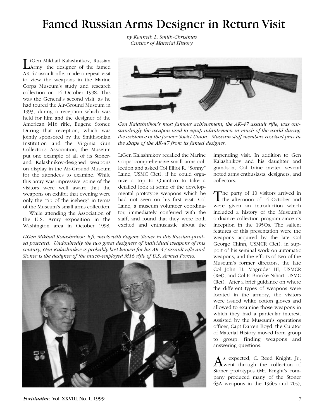### Famed Russian Arms Designer in Return Visit

*by Kenneth L. Smith-Christmas Curator of Material History*

tGen Mikhail Kalashnikov, Russian Army, the designer of the famed AK-47 assault rifle, made a repeat visit to view the weapons in the Marine Corps Museum's study and research collection on 14 October 1998. This was the General's second visit, as he had toured the Air-Ground Museum in 1993, during a reception which was held for him and the designer of the American M16 rifle, Eugene Stoner. During that reception, which was jointly sponsored by the Smithsonian Institution and the Virginia Gun Collector's Association, the Museum put one example of all of its Stonerand Kalashnikov-designed weapons on display in the Air-Ground Museum for the attendees to examine. While this array was impressive, some of the visitors were well aware that the weapons on exhibit that evening were only the "tip of the iceberg" in terms of the Museum's small arms collection.

While attending the Association of the U.S. Army exposition in the Washington area in October 1998,



*Gen Kalashnikov's most famous achievement, the AK-47 assault rifle, was outstandingly the weapon used to equip infantrymen in much of the world during the existence of the former Soviet Union. Museum staff members received pins in the shape of the AK-47 from its famed designer.*

LtGen Kalashnikov recalled the Marine Corps' comprehensive small arms collection and asked Col Elliot R. "Sonny" Laine, USMC (Ret), if he could organize a trip to Quantico to take a detailed look at some of the developmental prototype weapons which he had not seen on his first visit. Col Laine, a museum volunteer coordinator, immediately conferred with the staff, and found that they were both excited and enthusiastic about the

*LtGen Mikhail Kalashnikov, left, meets with Eugene Stoner in this Russian-printed postcard. Undoubtedly the two great designers of individual weapons of this century, Gen Kalashnikov is probably best known for his AK-47 assault rifle and Stoner is the designer of the much-employed M16 rifle of U.S. Armed Forces.*



impending visit. In addition to Gen Kalashnikov and his daughter and grandson, Col Laine invited several noted arms enthusiasts, designers, and collectors.

The party of 10 visitors arrived in  $\perp$  the afternoon of 14 October and were given an introduction which included a history of the Museum's ordnance collection program since its inception in the 195Os. The salient features of this presentation were the weapons acquired by the late Col George Chinn, USMCR (Ret), in support of his seminal work on automatic weapons, and the efforts of two of the Museum's former directors, the late Col John H. Magruder III, USMCR (Ret), and Col F. Brooke Nihart, USMC (Ret). After a brief guidance on where the different types of weapons were located in the armory, the visitors were issued white cotton gloves and allowed to examine those weapons in which they had a particular interest. Assisted by the Museum's operations officer, Capt Darren Boyd, the Curator of Material History moved from group to group, finding weapons and answering questions.

As expected, C. Reed Knight, Jr., Stoner prototypes (Mr. Knight's company produced many of the Stoner 63A weapons in the 1960s and 70s),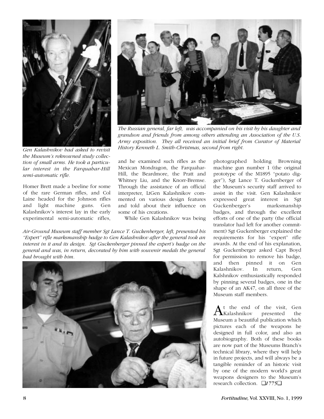

*Gen Kalashnikov had asked to revisit the Museum's reknowned study collection of small arms. He took a particular interest in the Farquahar-Hill semi-automatic rifle.*

Homer Brett made a beeline for some of the rare German rifles, and Col Laine headed for the Johnson rifles and light machine guns. Gen Kalashnikov's interest lay in the early experimental semi-automatic rifles,



*The Russian general, far left, was accompanied on his visit by his daughter and grandson and friends from among others attending an Association of the U.S. Army exposition. They all received an initial brief from Curator of Material History Kenneth L. Smith-Christmas, second from right.* 

and he examined such rifles as the Mexican Mondragon, the Farquahar-Hill, the Beardmore, the Pratt and Whitney Liu, and the Knorr-Bremse. Through the assistance of an official interpreter, LtGen Kalashnikov commented on various design features and told about their influence on some of his creations.

While Gen Kalashnikov was being

*Air-Ground Museum staff member Sgt Lance T. Guckenberger, left, presented his "Expert" rifle marksmanship badge to Gen Kalashnikov after the general took an interest in it and its design. Sgt Guckenberger pinned the expert's badge on the general and was, in return, decorated by him with souvenir medals the general had brought with him.*



photographed holding Browning machine gun number 1 (the original prototype of the M1895 "potato digger"), Sgt Lance T. Guckenberger of the Museum's security staff arrived to assist in the visit. Gen Kalashnikov expressed great interest in Sgt Guckenberger's marksmanship badges, and through the excellent efforts of one of the party (the official translator had left for another commitment) Sgt Guckenberger explained the requirements for his "expert" rifle awards. At the end of his explanation, Sgt Guckenberger asked Capt Boyd for permission to remove his badge, and then pinned it on Gen Kalashnikov. In return, Gen Kalshnikov enthusiastically responded by pinning several badges, one in the shape of an AK47, on all three of the Museum staff members.

t the end of the visit, Gen<br>Kalashnikov presented the  $A$ Kalashnikov Museum a beautiful publication which pictures each of the weapons he designed in full color, and also an autobiography. Both of these books are now part of the Museums Branch's technical library, where they will help in future projects, and will always be a tangible reminder of an historic visit by one of the modern world's great weapons designers to the Museum's research collection. ❑*1775*❑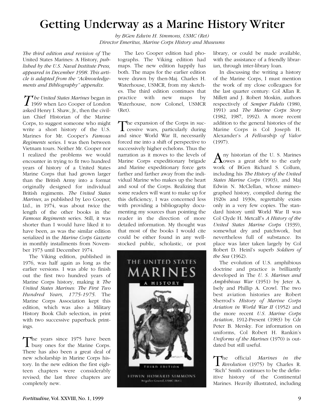### Getting Underway as a Marine History Writer

*by BGen Edwin H. Simmons, USMC (Ret) Director Emeritus, Marine Corps History and Museums*

*The third edition and revision of* The United States Marines: A History*, published by the U.S. Naval Institute Press, appeared in December 1998. This article is adapted from the "Acknowledgements and Bibliography" appendix.*

The United States Marines began in<br>
1969 when Leo Cooper of London asked Henry I. Shaw, Jr., then the civilian Chief Historian of the Marine Corps, to suggest someone who might write a short history of the U.S. Marines for Mr. Cooper's *Famous Regiments* series. I was then between Vietnam tours. Neither Mr. Cooper nor I realized the problems we would encounter in trying to fit two hundred years of history of a United States Marine Corps that had grown larger than the British Army into a format originally designed for individual British regiments. *The United States Marines*, as published by Leo Cooper, Ltd., in 1974, was about twice the length of the other books in the *Famous Regiments* series. Still, it was shorter than I would have liked it to have been, as was the similar edition serialized in the *Marine Corps Gazette* in monthly installments from November 1973 until December 1974.

The Viking edition, published in 1976, was half again as long as the earlier versions. I was able to finish out the first two hundred years of Marine Corps history, making it *The United States Marines: The First Two Hundred Years, 1775-1975*. The Marine Corps Association kept this edition, which was also a Military History Book Club selection, in print with two successive paperback printings.

The years since 1975 have been<br>busy ones for the Marine Corps. There has also been a great deal of new scholarship in Marine Corps history. In the new edition the first eighteen chapters were considerably revised; the last three chapters are completely new.

The Leo Cooper edition had photographs. The Viking edition had maps. The new edition happily has both. The maps for the earlier edition were drawn by then-Maj. Charles H. Waterhouse, USMCR, from my sketches. The third edition continues that practice with new maps by Waterhouse, now Colonel, USMCR (Ret).

The expansion of the Corps in successive wars, particularly during and since World War II, necessarily forced me into a shift of perspective to successively higher echelons. Thus the narration as it moves to the levels of Marine Corps expeditionary brigade and Marine expeditionary force gets farther and farther away from the individual Marine who makes up the heart and soul of the Corps. Realizing that some readers will want to make up for this deficiency, I was concerned less with providing a bibliography documenting my sources than pointing the reader in the direction of more detailed information. My thought was that most of the books I would cite could be either found in any wellstocked public, scholastic, or post



library, or could be made available, with the assistance of a friendly librarian, through inter-library loan.

In discussing the writing a history of the Marine Corps, I must mention the work of my close colleagues for the last quarter century: Col Allan R. Millett and J. Robert Moskin, authors respectively of *Semper Fidelis* (1980, 1991) and *The Marine Corps Story* (1982, 1987, 1992). A more recent addition to the general histories of the Marine Corps is Col Joseph H. Alexander's *A Fellowship of Valor* (1997).

Any historian of the U.S. Marines work of BGen Richard S. Collum, including his *The History of the United States Marine Corps* (1903), and Maj Edwin N. McClellan, whose mimeographed history, compiled during the 1920s and 1930s, regrettably exists only in a very few copies. The standard history until World War II was Col Clyde H. Metcalf's *A History of the United States Marine Corps* (1939), somewhat dry and patchwork, but nevertheless full of substance. Its place was later taken largely by Col Robert D. Heinl's superb *Soldiers of the Sea* (1962).

The evolution of U.S. amphibious doctrine and practice is brilliantly developed in The *U. S. Marines and Amphibious War* (1951) by Jeter A. Isely and Phillip A. Crowl. The two best aviation histories are Robert Sherrod's *History of Marine Corps Aviation in World War II* (1952) and the more recent *U.S. Marine Corps Aviation*, 1912-Present (1983) by Cdr Peter B. Mersky. For information on uniforms, Col Robert H. Rankin's *Uniforms of the Marines* (1970) is outdated but still useful.

The official *Marines in the Revolution* (1975) by Charles R. "Rich" Smith continues to be the definitive history of the Continental Marines. Heavily illustrated, including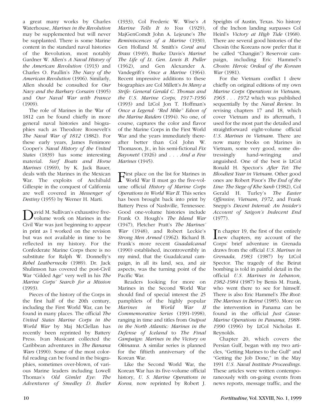a great many works by Charles Waterhouse, *Marines in the Revolution* may be supplemented but will never be supplanted. There is some Marine content in the standard naval histories of the Revolution, most notably Gardner W. Allen's *A Naval History of the American Revolution* (1913) and Charles O. Paullin's *The Navy of the American Revolution* (1906). Similarly, Allen should be consulted for *Our Navy and the Barbary Corsairs* (1905) and *Our Naval War with France*  $(1909)$ .

The role of Marines in the War of 1812 can be found chiefly in more general naval histories and biographies such as Theodore Roosevelt's *The Naval War of 1812* (1882). For these early years, James Fenimore Cooper's *Naval History of the United States* (1839) has some interesting material. *Surf Boats and Horse Marines* (1969), by K. Jack Bauer, deals with the Marines in the Mexican War. The exploits of Archibald Gillespie in the conquest of California are well covered in *Messenger of Destiny* (1955) by Werner H. Marti.

David M. Sullivan's exhaustive five-<br>volume work on Marines in the Civil War was just beginning to appear in print as I worked on the revision but was not available in time to be reflected in my history. For the Confederate Marine Corps there is no substitute for Ralph W. Donnelly's *Rebel Leathernecks* (1989). Dr. Jack Shulimson has covered the post-Civil War "Gilded Age" very well in his *The Marine Corps' Search for a Mission* (1993).

Pieces of the history of the Corps in the first half of the 20th century, including the First World War, can be found in many places. The official *The United States Marine Corps in the World War* by Maj McClellan has recently been reprinted by Battery Press. Ivan Musicant collected the Caribbean adventures in *The Banana Wars* (1990). Some of the most colorful reading can be found in the biographies, sometimes over-blown, of various Marine leaders including Lowell Thomas's *Old Gimlet Eye*: *The Adventures of Smedley D. Butler* (1933), Col Frederic W. Wise's *A Marine Tells It to You* (1929), MajGenComdt John A. Lejeune's *The Reminiscences of a Marine* (1930), Gen Holland M. Smith's *Coral and Brass* (1949), Burke Davis's *Marine*! *The Life of Lt. Gen. Lewis B. Puller* (1962), and Gen Alexander A. Vandegrift's *Once a Marine* (1964). Recent impressive additions to these biographies are Col Millett's *In Many a Strife: General Gerald C. Thomas and the U.S. Marine Corps, 1917-1956* (1993) and LtCol Jon T. Hoffman's *Once a Legend: "Red Mike" Edson of the Marine Raiders* (1994). No one, of course, captures the color and flavor of the Marine Corps in the First World War and the years immediately thereafter better than Col John W. Thomason, Jr., in his semi-fictional *Fix Bayonets*! (1926) and . . . *And a Few Marines* (1945).

First place on the list for Marines in<br>World War II must go the five-volume official *History of Marine Corps Operations in World War II*. This series has been brought back into print by Battery Press of Nashville, Tennessee. Good one-volume histories include Frank O. Hough's *The Island War* (1947), Fletcher Pratt's *The Marines' War* (1948), and Robert Leckie's *Strong Men Armed* (1962). Richard B. Frank's more recent *Guadalcanal* (1990) established, incontrovertibly in my mind, that the Guadalcanal campaign, in all its land, sea, and air aspects, was the turning point of the Pacific War.

Readers looking for more on Marines in the Second World War should find of special interest the 25 pamphlets of the highly popular *Marines in World War II Commemorative Series* (1991-1998), ranging in time and titles from *Outpost in the North Atlantic: Marines in the Defense of Iceland* to *The Final Campaign: Marines in the Victory on Okinawa.* A similar series is planned for the fiftieth anniversary of the Korean War.

Like the Second World War, the Korean War has its five-volume official history, *U. S. Marine Operations in Korea,* now reprinted by Robert J.

Speights of Austin, Texas. No history of the Inchon landing surpasses Col Heinl's *Victory at High Tide* (1968). There are several good histories of the Chosin (the Koreans now prefer that it be called "Changjin") Reservoir campaign, including Eric Hammel's *Chosin: Heroic Ordeal of the Korean War* (1981).

For the Vietnam conflict I drew chiefly on original editions of my own *Marine Corps Operations in Vietnam, 1965 . . . 1972* which was published sequentially by the *Naval Review*. In revising chapters 17 and 18, which cover Vietnam and its aftermath, I used for the most part the detailed and straightforward eight-volume official *U.S. Marines in Vietnam*. There are now many books on Marines in Vietnam, some very good, some distressingly hand-wringing and anguished. One of the best is LtCol Ronald H. Spector's *After Tet: The Bloodiest Year in Vietnam*. Other good ones are Robert Pisor's *The End of the Line: The Siege of Khe Sanh* (1982), Col Gerald H. Turley's *The Easter Offensive, Vietnam, 1972*, and Frank Snepp's *Decent Interval: An Insider's Account of Saigon's Indecent End* (1977).

In chapter 19, the first of the entirely<br>new chapters, my account of the new chapters, my account of the Corps' brief adventure in Grenada draws from the official *U.S. Marines in Grenada, 1983* (1987) by LtCol Spector. The tragedy of the Beirut bombing is told in painful detail in the official *U.S. Marines in Lebanon, 1982-1984* (1987) by Benis M. Frank, who went there to see for himself. There is also Eric Hammel's *The Root: The Marines in Beirut* (1985). More on the intervention in Panama can be found in the official *Just Cause: Marine Operations in Panama, 1988- 1990* (1996) by LtCol Nicholas E. Reynolds.

Chapter 20, which covers the Persian Gulf, began with my two articles, "Getting Marines to the Gulf" and "Getting the Job Done," in the May 1991 *U.S. Naval Institute Proceedings*. These articles were written contemporaneously with on-going events from news reports, message traffic, and the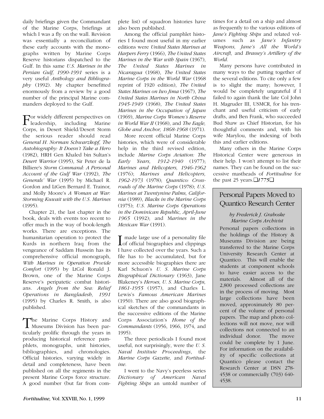daily briefings given the Commandant of the Marine Corps, briefings at which I was a fly on the wall. Revision was essentially a reconciliation of these early accounts with the monographs written by Marine Corps Reserve historians dispatched to the Gulf. In this same *U.S. Marines in the Persian Gulf, 1990-1991* series is a very useful *Anthology and Bibliography* (1992). My chapter benefitted enormously from a review by a good number of the principal Marine commanders deployed to the Gulf.

For widely different perspectives on leadership, including Marine Corps, in Desert Shield/Desert Storm the serious reader should read *General H. Norman Schwarzkopf, The Autobiography: It Doesn't Take a Hero* (1982), HRH Gen Khaled bin Sultan's *Desert Warrior* (1995), Sir Peter de la Billiere's *Storm Command: A Personal Account of the Gulf War* (1992), *The Generals' War* (1995) by Michael R. Gordon and LtGen Bernard E. Trainor, and Molly Moore's *A Woman at War: Storming Kuwait with the U.S. Marines* (1995).

Chapter 21, the last chapter in the book, deals with events too recent to offer much in the way of book-length works. There are exceptions. The humanitarian operation to protect the Kurds in northern Iraq from the vengeance of Saddam Hussein has its comprehensive official monograph, *With Marines in Operation Provide Comfort* (1995) by LtCol Ronald J. Brown, one of the Marine Corps Reserve's peripatetic combat historians. *Angels from the Sea: Relief Operations in Bangladesh, 1991* (1995) by Charles R. Smith, is also published.

The Marine Corps History and Museums Division has been particularly prolific through the years in producing historical reference pamphlets, monographs, unit histories, bibliographies, and chronologies. Official histories, varying widely in detail and completeness, have been published on all the regiments in the present Marine Corps force structure. A good number (but far from complete list) of squadron histories have also been published.

Among the official pamphlet histories I found most useful in my earlier editions were *United States Marines at Harpers Ferry* (1966), *The United States Marines in the War with Spain* (1967), *The United States Marines in Nicaragua* (1968), *The United States Marine Corps in the World War* (1968 reprint of 1920 edition), *The United States Marines on Iwo Jima* (1967), *The United States Marines in North China 1945-1949* (1968), *The United States Marines in the Occupation of Japan* (1969), *Marine Corps Women's Reserve in World War II* (1968), and *The Eagle, Globe and Anchor, 1868-1968* (1971).

More recent official Marine Corps histories, which were of considerable help in the third revised edition, include *Marine Corps Aviation: The Early Years, 1912-1940* (1977); *Marines and Helicopters, 1946-1962* (1976); *Marines and Helicopters, 1962-1973* (1978); *Quantico: Crossroads of the Marine Corps* (1978); *U.S. Marines at Twentynine Palms, California* (1989), *Blacks in the Marine Corps* (1975); *U.S. Marine Corps Operations in the Dominican Republic, April-June 1965* (1992); and M*arines in the Mexican War* (1991).

I made large use of a personality file<br>of official biographies and clippings I have collected over the years. Such a file has to be accumulated, but for more accessible biographies there are Karl Schuon's *U. S. Marine Corps Biographical Dictionary* (1963), Jane Blakeney's *Heroes, U. S. Marine Corps, 1861-1955* (1957), and Charles L. Lewis's *Famous American Marines* (1950). There are also good biographical sketches of the commandants in the successive editions of the Marine Corps Association's *Home of the Commandants* (1956, 1966, 1974, and 1995).

The three periodicals I found most useful, not surprisingly, were the *U. S. Naval Institute Proceedings*, the *Marine Corps Gazette*, and *Fortitudine*.

I went to the Navy's peerless series *Dictionary of American Naval Fighting Ships* an untold number of

times for a detail on a ship and almost as frequently to the various editions of *Jane's Fighting Ships* and related volumes such as *Jane's Infantry Weapons, Jane's All the World's Aircraft,* and *Brassey's Artillery of the World.*

Many persons have contributed in many ways to the putting together of the several editions. To cite only a few is to slight the many; however, I would be completely ungrateful if I failed to again thank the late Col John H. Magruder III, USMCR, for his trenchant and useful criticism of early drafts, and Ben Frank, who succeeded Bud Shaw as Chief Historian, for his thoughtful comments and, with his wife Marylou, the indexing of both this and earlier editions.

Many others in the Marine Corps Historical Center were generous in their help. I won't attempt to list their names. They can be found on the successive mastheads of *Fortitudine* for the past 25 years.❑*1775*❑

### Personal Papers Moved to Quantico Research Center

#### *by Frederick J. Graboske Marine Corps Archivist*

Personal papers collections in the holdings of the History & Museums Division are being transferred to the Marine Corps University Research Center at Quantico. This will enable the students at component schools to have easier access to the materials. Almost all of the 2,800 processed collections are in the process of moving. Most large collections have been moved, approximately 80 percent of the volume of personal papers. The map and photo collections will not move, nor will collections not connected to an individual donor. The move could be complete by 1 June. For information on the availability of specific collections at Quantico please contact the Research Center at DSN 278- 4538 or commercially (703) 640- 4538.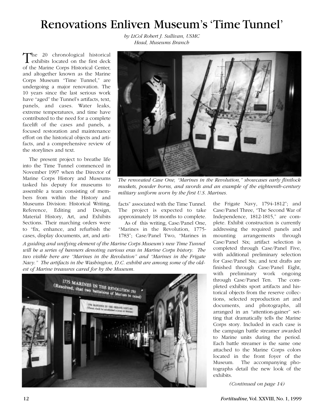# Renovations Enliven Museum's 'Time Tunnel'

*by LtCol Robert J. Sullivan, USMC Head, Museums Branch*

The 20 chronological historical exhibits located on the first deck of the Marine Corps Historical Center, and altogether known as the Marine Corps Museum "Time Tunnel," are undergoing a major renovation. The 10 years since the last serious work have "aged" the Tunnel's artifacts, text, panels, and cases. Water leaks, extreme temperatures, and time have contributed to the need for a complete facelift of the cases and panels, a focused restoration and maintenance effort on the historical objects and artifacts, and a comprehensive review of the storylines and text.

The present project to breathe life into the Time Tunnel commenced in November 1997 when the Director of Marine Corps History and Museums tasked his deputy for museums to assemble a team consisting of members from within the History and Museums Division: Historical Writing, Reference, Editing and Design, Material History, Art, and Exhibits Sections. Their marching orders were to "fix, enhance, and refurbish the cases, display documents, art, and arti-



*The renovated Case One, "Marines in the Revolution," showcases early flintlock muskets, powder horns, and swords and an example of the eighteenth-century military uniform worn by the first U.S. Marines.*

facts" associated with the Time Tunnel. The project is expected to take approximately 18 months to complete.

As of this writing, Case/Panel One, "Marines in the Revolution, 1775- 1783"; Case/Panel Two, "Marines in

*A guiding and unifying element of the Marine Corps Museum's new Time Tunnel will be a series of banners denoting various eras in Marine Corps history. The two visible here are "Marines in the Revolution" and "Marines in the Frigate Navy." The artifacts in the Washington, D.C. exhibit are among some of the oldest of Marine treasures cared for by the Museum.*



the Frigate Navy, 1794-1812"; and Case/Panel Three, "The Second War of Independence, 1812-1815," are complete. Exhibit construction is currently addressing the required panels and mounting arrangements through Case/Panel Six; artifact selection is completed through Case/Panel Five, with additional preliminary selection for Case/Panel Six; and text drafts are finished through Case/Panel Eight, with preliminary work ongoing through Case/Panel Ten. The completed exhibits sport artifacts and historical objects from the reserve collections, selected reproduction art and documents, and photographs, all arranged in an "attention-gainer" setting that dramatically tells the Marine Corps story. Included in each case is the campaign battle streamer awarded to Marine units during the period. Each battle streamer is the same one attached to the Marine Corps colors located in the front foyer of the Museum. The accompanying photographs detail the new look of the exhibits.

*(Continued on page 14)*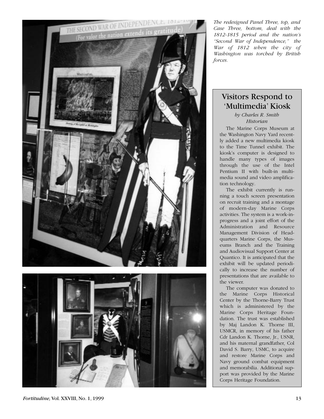

*The redesigned Panel Three, top, and Case Three, bottom, deal with the 1812-1815 period and the nation's "Second War of Independence," the War of 1812 when the city of Washington was torched by British forces.*

# 'Multimedia' Kiosk

*by Charles R. Smith Historian*

The Marine Corps Museum at the Washington Navy Yard recently added a new multimedia kiosk to the Time Tunnel exhibit. The kiosk's computer is designed to handle many types of images through the use of the Intel Pentium II with built-in multimedia sound and video amplification technology.

The exhibit currently is running a touch screen presentation on recruit training and a montage of modern-day Marine Corps activities. The system is a work-inprogress and a joint effort of the Administration and Resource Management Division of Headquarters Marine Corps, the Museums Branch and the Training and Audiovisual Support Center at Quantico. It is anticipated that the exhibit will be updated periodically to increase the number of presentations that are available to the viewer.

The computer was donated to the Marine Corps Historical Center by the Thorne-Barry Trust which is administered by the Marine Corps Heritage Foundation. The trust was established by Maj Landon K. Thorne III, USMCR, in memory of his father Cdr Landon K. Thorne, Jr., USNR, and his maternal grandfather, Col David S. Barry, USMC, to acquire and restore Marine Corps and Navy ground combat equipment and memorabilia. Additional support was provided by the Marine Corps Heritage Foundation.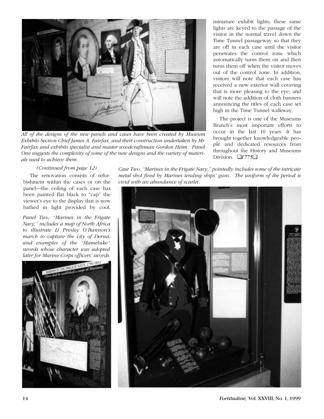

*All of the designs of the new panels and cases have been created by Museum Exhibits Section Chief James A. Fairfax, and their construction undertaken by Mr. Fairfax and exhibits specialist and master woodcraftsman Gordon Heim. Panel One suggests the complexity of some of the new designs and the variety of materials used to achieve them.*

miniature exhibit lights; these same lights are keyed to the passage of the visitor in the normal travel down the Time Tunnel passageway so that they are off in each case until the visitor penetrates the control zone which automatically turns them on and then turns them off when the visitor moves out of the control zone. In addition, visitors will note that each case has received a new exterior wall covering that is more pleasing to the eye; and will note the addition of cloth banners announcing the titles of each case set high in the Time Tunnel walkway.

The project is one of the Museums Branch's most important efforts to occur in the last 10 years. It has brought together knowledgeable people and dedicated resources from throughout the History and Museums Division. ❑*1775*❑

#### *(Continued from page 12)*

The renovation consists of refurbishment within the cases or on the panel—the ceiling of each case has been painted flat black to "cap" the viewer's eye to the display that is now bathed in light provided by cool,

*Panel Two, "Marines in the Frigate Navy," includes a map of North Africa to illustrate Lt Presley O'Bannon's march to capture the city of Derna, and examples of the "Mameluke" swords whose character was adopted later for Marine Corps officers' swords.* 



*Case Two, "Marines in the Frigate Navy," pointedly includes some of the intricate metal shot fired by Marines tending ships' guns. The uniform of the period is vivid with an abundance of scarlet.*

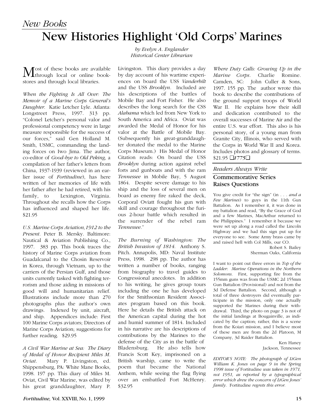### *New Books* New Histories Highlight 'Old Corps' Marines

Most of these books are available<br>through local or online bookstores and through local libraries.

*When the Fighting Is All Over: The Memoir of a Marine Corps General's Daughter.* Katie Letcher Lyle. Atlanta: Longstreet Press, 1997. 313 pp. "Colonel Letcher's personal valor and professional competency were in large measure responsible for the success of our forces," said Gen Holland M. Smith, USMC, commanding the landing forces on Iwo Jima. The author, co-editor of *Good-bye to Old Peking,* a compilation of her father's letters from China, 1937-1939 (reviewed in an earlier issue of *Fortitudine*), has here written of her memories of life with her father after he had retired, with his family, to Lexington, Virginia. Throughout she recalls how the Corps has influenced and shaped her life. \$21.95

*U.S. Marine Corps Aviation,1912 to the Present.* Peter B. Mersky. Baltimore: Nautical & Aviation Publishing Co., 1997. 383 pp. This book traces the history of Marine Corps aviation from Guadalcanal to the Chosin Reservoir in Korea, through Vietnam, up to the carriers of the Persian Gulf, and those units currently tasked with fighting terrorism and those aiding in missions of good will and humanitarian relief. Illustrations include more than 270 photographs plus the author's own drawings. Indexed by unit, aircraft, and ship. Appendices include: First 100 Marine Corps aviators; Directors of Marine Corps Aviation; suggestions for further reading. \$29.95

*A Civil War Marine at Sea: The Diary of Medal of Honor Recipient Miles M. Oviat*. Mary P. Livingston, ed. Shippensburg, PA: White Mane Books, 1998. 197 pp. This diary of Miles M. Oviat, Civil War Marine, was edited by his great granddaughter, Mary P.

*by Evelyn A. Englander Historical Center Librarian*

Livingston. This diary provides a day by day account of his wartime experiences on board the USS *Vanderbilt* and the USS *Brooklyn.* Included are his descriptions of the battles of Mobile Bay and Fort Fisher. He also describes the long search for the CSS *Alabama* which led from New York to South America and Africa. Oviat was awarded the Medal of Honor for his valor at the Battle of Mobile Bay. (Subsequently his great-granddaughter donated the medal to the Marine Corps Museum.) His Medal of Honor Citation reads: On board the USS *Brooklyn* during action against rebel forts and gunboats and with the ram *Tennessee* in Mobile Bay, 5 August 1864. Despite severe damage to his ship and the loss of several men on board as enemy fire raked the deck, Corporal Oviatt fought his gun with skill and courage throughout the furious 2-hour battle which resulted in the surrender of the rebel ram *Tennessee.*"

*The Burning of Washington: The British Invasion of 1814*. Anthony S. Pitch. Annapolis, MD: Naval Institute Press, 1998. 298 pp. The author has written a number of books, ranging from biography to travel guides to Congressional anecdotes. In addition to his writing, he gives group tours including the one he has developed for the Smithsonian Resident Associates program based on this book. Here he details the British attack on the American capital during the hot and humid summer of 1814. Included in his narrative are his descriptions of contributions by the Marines to the defense of the City as in the battle of Bladensburg. He also tells how Francis Scott Key, imprisoned on a British warship, came to write the poem that became the National Anthem, while seeing the flag flying over an embattled Fort McHenry. \$32.95

*Where Duty Calls: Growing Up in the Marine Corps.* Charlie Romine. Camden, SC: John Culler & Sons, 1997. 155 pp. The author wrote this book to describe the contributions of the ground support troops of World War II. He explains how their skill and dedication contributed to the overall successes of Marine Air and the entire U.S. war effort. This also is his personal story, of a young man from Granite City, Illinois, who served with the Corps in World War II and Korea. Includes photos and glossary of terms. \$21.95 ❑*1775*❑

#### *Readers Always Write*

#### Commemorative Series Raises Questions

You give credit for "the sign" (in . . . *and a Few Marines*) to guys in the 11th Gun Battalion. As I remember it, it was done in my battalion and read, "By the Grace of God and a few Marines, MacArthur returned to the Philippines." I remember it because we were set up along a road called the Lincoln Highway and we had this sign put up for everyone to see. Some Army brass came by and raised hell with Col Mills, our CO.

Robert S. Bailey Sherman Oaks, California

I want to point out three errors in *Top of the Ladder*: *Marine Operations in the Northern Solomons*. First, supporting fire from the 155mm guns was from the USMC 2d 155mm Gun Battalion (Provisional) and not from the 3d Defense Battalion. Second, although a total of three destroyers did eventually participate in the mission, only one actually supported the Marines during their withdrawal. Third, the photo on page 3 is not of the initial landings at Bougainville, as indicated by the caption; rather, this is a scene from the Koiari mission, and I believe most of these men are from the 2d Platoon, M Company, 3d Raider Battalion.

> Ken Haney Jackson, Tennessee

*EDITOR'S NOTE: The photograph of LtGen William K. Jones on page 9 in the Spring 1998 issue of* Fortitudine *was taken in 1971, not 1951, as reported by a typographical error which drew the concern of LtGen Jones' family.* Fortitudine *regrets this error.*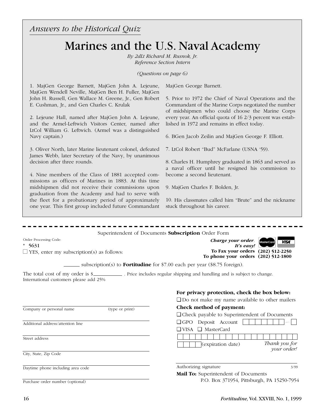*Answers to the Historical Quiz*

### Marines and the U.S. Naval Academy

*By 2dLt Richard M. Rusnok, Jr. Reference Section Intern*

*(Questions on page 6)*

1. MajGen George Barnett, MajGen John A. Lejeune, MajGen Wendell Neville, MajGen Ben H. Fuller, MajGen John H. Russell, Gen Wallace M. Greene, Jr., Gen Robert E. Cushman, Jr., and Gen Charles C. Krulak

2. Lejeune Hall, named after MajGen John A. Lejeune, and the Armel-Leftwich Visitors Center, named after LtCol William G. Leftwich. (Armel was a distinguished Navy captain.)

3. Oliver North, later Marine lieutenant colonel, defeated James Webb, later Secretary of the Navy, by unanimous decision after three rounds.

4. Nine members of the Class of 1881 accepted commissions as officers of Marines in 1883. At this time midshipmen did not receive their commissions upon graduation from the Academy and had to serve with the fleet for a probationary period of approximately one year. This first group included future Commandant 5. Prior to 1972 the Chief of Naval Operations and the Commandant of the Marine Corps negotiated the number of midshipmen who could choose the Marine Corps every year. An official quota of 16 2/3 percent was established in 1972 and remains in effect today.

6. BGen Jacob Zeilin and MajGen George F. Elliott.

7. LtCol Robert "Bud" McFarlane (USNA '59).

8. Charles H. Humphrey graduated in 1863 and served as a naval officer until he resigned his commission to become a second lieutenant.

9. MajGen Charles F. Bolden, Jr.

MajGen George Barnett.

10. His classmates called him "Brute" and the nickname stuck throughout his career.

Superintendent of Documents **Subscription** Order Form

Order Processing Code:

\* 5631

 $\Box$  YES, enter my subscription(s) as follows:

*Charge your order.* Mostercard **WISA** *It's easy!* **To Fax your orders (202) 512-2250 To phone your orders (202) 512-1800**



subscription(s) to **Fortitudine** for \$7.00 each per year (\$8.75 foreign).

The total cost of my order is \$ International customers please add 25%

Company or personal name (type or print)

Additional address/attention line

Street address

City, State, Zip Code

Daytime phone including area code

Purchase order number (optional)

| For privacy protection, check the box below:          |
|-------------------------------------------------------|
| $\Box$ Do not make my name available to other mailers |
| Check method of payment:                              |
| $\Box$ Check payable to Superintendent of Documents   |
| $\Box$ GPO Deposit Account                            |
| $\Box$ VISA $\Box$ MasterCard                         |
|                                                       |
| Thank you for<br>$(c$ xpiration date)                 |
| your order!                                           |
|                                                       |
| Authorizing signature<br>3/99                         |

| uthorizing signature |  |
|----------------------|--|
|                      |  |

**Mail To:** Superintendent of Documents P.O. Box 371954, Pittsburgh, PA 15250-7954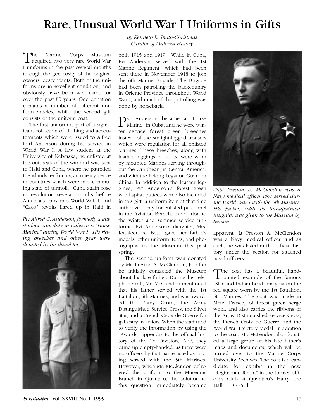### Rare, Unusual World War I Uniforms in Gifts

The Marine Corps Museum<br>acquired two very rare World War I uniforms in the past several months through the generosity of the original owners' descendants. Both of the uniforms are in excellent condition, and obviously have been well cared for over the past 80 years. One donation contains a number of different uniform articles, while the second gift consists of the uniform coat.

The first uniform is part of a significant collection of clothing and accouterments which were issued to Alfred Carl Anderson during his service in World War I. A law student at the University of Nebraska, he enlisted at the outbreak of the war and was sent to Haiti and Cuba, where he patrolled the islands, enforcing an uneasy peace in countries which were in a continuing state of turmoil. Cuba again rose in revolution several months before America's entry into World Wall I, and "Caco" revolts flared up in Haiti in

*Pvt Alfred C. Anderson, formerly a law student, saw duty in Cuba as a "Horse Marine" during World War I. His riding breeches and other gear were donated by his daughter.*



*by Kenneth L. Smith-Christmas Curator of Material History*

both 1915 and 1919. While in Cuba, Pvt Anderson served with the 1st Marine Regiment, which had been sent there in November 1918 to join the 6th Marine Brigade. The Brigade had been patrolling the backcountry in Oriente Province throughout World War I, and much of this patrolling was done by horseback.

Pvt Anderson became a "Horse Marine" in Cuba, and he wore winter service forest green breeches instead of the straight-legged trousers which were regulation for all enlisted Marines. These breeches, along with leather leggings or boots, were worn by mounted Marines serving throughout the Caribbean, in Central America, and with the Peking Legation Guard in China. In addition to the leather leggings, Pvt Anderson's forest green wool spiral puttees were also included in this gift, a uniform item at that time authorized only for enlisted personnel in the Aviation Branch. In addition to the winter and summer service uniforms, Pvt Anderson's daughter, Mrs. Kathleen A. Best, gave her father's medals, other uniform items, and photographs to the Museum this past spring.

The second uniform was donated by Mr. Preston A. McClendon, Jr., after he initially contacted the Museum about his late father. During his telephone call, Mr. McClendon mentioned that his father served with the 1st Battalion, 5th Marines, and was awarded the Navy Cross, the Army Distinguished Service Cross, the Silver Star, and a French Croix de Guerre for gallantry in action. When the staff tried to verify the information by using the "Awards" appendix to the official history of the 2d Division, AEF, they came up empty-handed, as there were no officers by that name listed as having served with the 5th Marines. However, when Mr. McClendon delivered the uniform to the Museums Branch in Quantico, the solution to this question immediately became



*Capt Preston A. McClendon was a Navy medical officer who served during World War I with the 5th Marines. His jacket, with its handpainted insignia, was given to the Museum by his son.*

apparent. Lt Preston A. McClendon was a Navy medical officer, and as such, he was listed in the official history under the section for attached naval officers.

The coat has a beautiful, hand-<br>painted example of the famous "Star and Indian head" insignia on the red square worn by the 1st Battalion, 5th Marines. The coat was made in Metz, France, of forest green serge wool, and also carries the ribbons of the Army Distinguished Service Cross, the French Croix de Guerre, and the World War I Victory Medal. In addition to the coat, Mr. McLendon also donated a large group of his late father's maps and documents, which will be turned over to the Marine Corps University Archives. The coat is a candidate for exhibit in the new "Regimental Room" in the former officer's Club at Quantico's Harry Lee Hall. ❑*1775*❑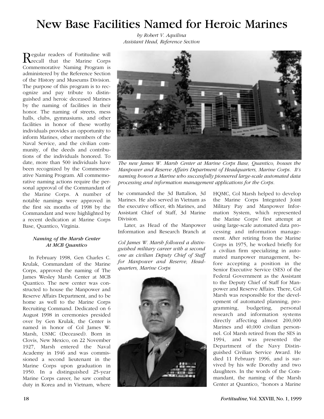### New Base Facilities Named for Heroic Marines

*by Robert V. Aquilina Assistant Head, Reference Section*

Regular readers of Fortitudine will<br>recall that the Marine Corps Commemorative Naming Program is administered by the Reference Section of the History and Museums Division. The purpose of this program is to recognize and pay tribute to distinguished and heroic deceased Marines by the naming of facilities in their honor. The naming of streets, mess halls, clubs, gymnasiums, and other facilities in honor of these worthy individuals provides an opportunity to inform Marines, other members of the Naval Service, and the civilian community, of the deeds and contributions of the individuals honored. To date, more than 500 individuals have been recognized by the Commemorative Naming Program. All commemorative naming actions require the personal approval of the Commandant of the Marine Corps. A number of notable namings were approved in the first six months of 1998 by the Commandant and were highlighted by a recent dedication at Marine Corps Base, Quantico, Virginia.

#### *Naming of the Marsh Center At MCB Quantico*

In February 1998, Gen Charles C. Krulak, Commandant of the Marine Corps, approved the naming of The James Wesley Marsh Center at MCB Quantico. The new center was constructed to house the Manpower and Reserve Affairs Department, and to be home as well to the Marine Corps Recruiting Command. Dedicated on 6 August 1998 in ceremonies presided over by Gen Krulak, the Center is named in honor of Col James W. Marsh, USMC (Deceased). Born in Clovis, New Mexico, on 22 November 1927, Marsh entered the Naval Academy in 1946 and was commissioned a second lieutenant in the Marine Corps upon graduation in 1950. In a distinguished 25-year Marine Corps career, he saw combat duty in Korea and in Vietnam, where



*The new James W. Marsh Center at Marine Corps Base, Quantico, houses the Manpower and Reserve Affairs Department of Headquarters, Marine Corps. It's naming honors a Marine who successfully pioneered large-scale automated data processing and information management applications for the Corps.*

he commanded the 3d Battalion, 3d Marines. He also served in Vietnam as the executive officer, 4th Marines, and Assistant Chief of Staff, 3d Marine Division.

Later, as Head of the Manpower Information and Research Branch at

*Col James W. Marsh followed a distinguished military career with a second one as civilian Deputy Chief of Staff for Manpower and Reserve, Headquarters, Marine Corps*



HQMC, Col Marsh helped to develop the Marine Corps Integrated Joint Military Pay and Manpower Information System, which represented the Marine Corps' first attempt at using large-scale automated data processing and information management. After retiring from the Marine Corps in 1975, he worked briefly for a civilian firm specializing in automated manpower management, before accepting a position in the Senior Executive Service (SES) of the Federal Government as the Assistant to the Deputy Chief of Staff for Manpower and Reserve Affairs. There, Col Marsh was responsible for the development of automated planning, programming, budgeting, personal research and information systems directly affecting almost 200,000 Marines and 40,000 civilian personnel. Col Marsh retired from the SES in 1994, and was presented the Department of the Navy Distinguished Civilian Service Award. He died 11 February 1996, and is survived by his wife Dorothy and two daughters. In the words of the Commandant, the naming of the Marsh Center at Quantico, "honors a Marine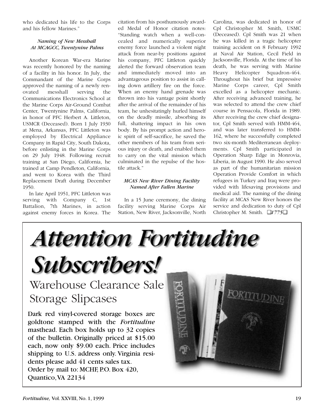who dedicated his life to the Corps and his fellow Marines."

#### *Naming of New Messhall At MCAGCC, Twentynine Palms*

Another Korean War-era Marine was recently honored by the naming of a facility in his honor. In July, the Commandant of the Marine Corps approved the naming of a newly renovated messhall serving the Communications Electronics School at the Marine Corps Air-Ground Combat Center, Twentynine Palms, California, in honor of PFC Herbert A. Littleton, USMCR (Deceased). Born 1 July 1930 at Mena, Arkansas, PFC Littleton was employed by Electrical Appliance Company in Rapid City, South Dakota, before enlisting in the Marine Corps on 29 July 1948. Following recruit training at San Diego, California, he trained at Camp Pendleton, California, and went to Korea with the Third Replacement Draft during December 1950.

In late April 1951, PFC Littleton was serving with Company C, 1st Battalion, 7th Marines, in action against enemy forces in Korea. The

citation from his posthumously awarded Medal of Honor citation notes: "Standing watch when a well-concealed and numerically superior enemy force launched a violent night attack from near-by positions against his company, PFC Littleton quickly alerted the forward observation team and immediately moved into an advantageous position to assist in calling down artillery fire on the force. When an enemy hand grenade was thrown into his vantage point shortly after the arrival of the remainder of his team, he unhesitatingly hurled himself on the deadly missile, absorbing its full, shattering impact in his own body. By his prompt action and heroic spirit of self-sacrifice, he saved the other members of his team from serious injury or death, and enabled them to carry on the vital mission which culminated in the repulse of the hostile attack."

#### *MCAS New River Dining Facility Named After Fallen Marine*

In a 15 June ceremony, the dining facility serving Marine Corps Air Station, New River, Jacksonville, North Carolina, was dedicated in honor of Cpl Christopher M. Smith, USMC (Deceased). Cpl Smith was 21 when he was killed in a tragic helicopter training accident on 8 February 1992 at Naval Air Station, Cecil Field in Jacksonville, Florida. At the time of his death, he was serving with Marine Heavy Helicopter Squadron-464. Throughout his brief but impressive Marine Corps career, Cpl Smith excelled as a helicopter mechanic. After receiving advanced training, he was selected to attend the crew chief course in Pensacola, Florida in 1989. After receiving the crew chief designator, Cpl Smith served with HMM-464, and was later transferred to HMM-162, where he successfully completed two six-month Mediterranean deployments. Cpl Smith participated in Operation Sharp Edge in Monrovia, Liberia, in August 1990. He also served as part of the humanitarian mission Operation Provide Comfort in which refugees in Turkey and Iraq were provided with lifesaving provisions and medical aid. The naming of the dining facility at MCAS New River honors the service and dedication to duty of Cpl Christopher M. Smith. ❑*1775*❑

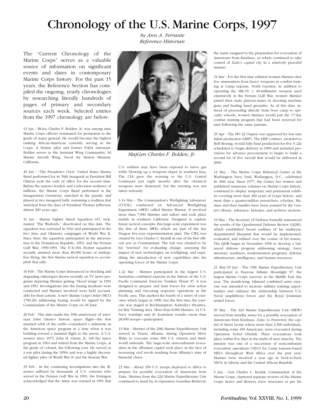### Chronology of the U.S. Marine Corps, 1997

*by Ann A. Ferrante Reference Historian*

The "Current Chronology of the Marine Corps" serves as a valuable source of information on significant events and dates in contemporary Marine Corps history. For the past 15 years, the Reference Section has compiled the ongoing, yearly chronologies by researching literally hundreds of pages of primary and secondary sources each week. Selected entries from the 1997 chronology are below:

13 Jan - BGen Charles F. Bolden, Jr. was among nine Marine Corps officers nominated for promotion to the grade of major general. He would become the highest ranking African-American currently serving in the Corps. A Marine pilot and former NASA astronaut, Bolden serves as the Assistant Wing Commander, 3d Marine Aircraft Wing, Naval Air Station Miramar, California.

20 Jan - "The President's Own" United States Marine Band performed for its 50th inaugural as President Bill Clinton took the oath of office for the second time. Before the nation's leaders and a television audience of millions, the Marine Corps Band performed at the Inauguration Ceremony, marched in the parade, and played at two inaugural balls, sustaining a tradition that stretched from the days of President Thomas Jefferson, almost 200 years ago.

31 Jan - Marine Fighter Attack Squadron 451, nicknamed "The Warlords," deactivated on this date. The squadron was activated in 1944 and participated in the Iwo Jima and Okinawa campaigns of World War II. Since then, the squadron participated in the intervention in the Dominican Republic, 1965, and the Persian Gulf War, 1990-1991. The F/A-18A Hornet squadron recently attained more than 80,000 hours of mishapfree flying, the first Marine tactical squadron to accomplish that tally.

10 Feb - The Marine Corps denounced as shocking and degrading videotapes shown recently on TV news programs depicting Marines getting "blood wings" in 1991 and 1993. Investigations into the hazing incidents were conducted and Marines involved were held accountable for their actions. A new Marine Corps Order (MCO 1700.28) addressing hazing would be signed by the Commandant of the Marine Corps on 18 June.

20 Feb - This date marks the 35th anniversary of astronaut John Glenn's historic space flight—the first manned orbit of the earth—considered a milestone in the American space program at a time when it was building toward a manned flight to the moon. A U.S. senator since 1975, John H. Glenn, Jr., left the space program in 1964 and retired from the Marine Corps, at the grade of colonel, the following year. He served as a test pilot during the 1950s and was a highly decorated fighter pilot of World War II and the Korean War.

25 Feb - In the continuing investigations into the illnesses suffered by thousands of U.S. veterans who served in the Persian Gulf War in 1991, the Pentagon acknowledged that the Army was warned in 1991 that



*MajGen Charles F. Bolden, Jr.*

U.S. soldiers may have been exposed to nerve gas while blowing up a weapons depot in southern Iraq. The CIA gave the warning to the U.S. Central Command just eight months after the chemical weapons were destroyed, but the warning was not taken seriously.

1-14 Mar - The Commandant's Warfighting Laboratory (COOL) conducted an Advanced Warfighting Experiment (AWE) called Hunter Warrior. It involved more than 7,000 Marines and sailors and took place mainly in southern California. Designed to explore future tactical concepts, this large-scale experiment was the first of three AWEs which are part of the Sea Dragon five-year experimentation plan. The CWL was created by Gen Charles C. Krulak in one of his first official acts as Commandant. The Lab was charted to be his "test-bed" for evaluating change, assessing the impact of new technologies on warfighing, and expediting the introduction of new capabilities into the operating forces of the Marine Corps.

1-22 Mar - Marines participated in the largest U.S. Australian combined exercise in the history of the U.S. Pacific Command, Exercise Tandem Thrust 97. It was designed to prepare and train forces for crisis action planning and executing response operations in the Pactfic area. This marked the fourth of a series of exercises which began in 1990, but the first time the exercise was staged in Rockhampton, Australia's Shoalwater Bay Training Area. More than 8,000 Marines, 14 U.S. Navy warships and 20 Australian vessels—more than 28,000 troops—participated.

13 Mar - Marines of the 26th Marine Expeditionary Unit arrived in Tirana, Albania, during Operation Silver Wake to evacuate some 900 U.S. citizens and thirdworld nationals. The large-scale noncombatant evacuation in the Albanian capital took place in the face of increasing civil revolt resulting from Albania's state of financial chaos.

23 Mar - About 350 U.S. troops deployed to Africa to prepare for possible evacuation of Americans from Zaire. Marines from the 22d Marine Expeditionary Unit continued to stand by in Operation Guardian Retrieval, the name assigned to the preparation for evacuation of Americans from Kinshasa, as rebels continued to take control of Zaire's capital city in a relatively peaceful manner.

31 Mar - For the first time enlisted women Marines shot live ammunition from heavy weapons in combat training at Camp Lejeune, North Carolina. In addition to operating the MK-19, a 40-millimeter weapon used extensively in the Persian Gulf War, women Marines joined their male platoon-mates in shooting machine guns and hurling hand grenades. As of this date, instead of proceeding directly from boot camp to specialty schools, women Marines would join the 17-day combat training program that had been reserved for men following the same pursuits.

25 Apr - The MV-22 Osprey was approved for low-rate initial production (LRIP). The LRIP contract, awarded to Bell/Boeing, would fully fund production for five V-22s scheduled to begin delivery in 1999 and included provisions for advance procurement to begin to build a second lot of five aircraft that would be delivered in 2000.

12 May - The Marine Corps Historical Center at the Washington Navy Yard, Washington, D.C., celebrated its 20th year. Since 1977, the Center has written and published numerous volumes on Marine Corps history, continued to display temporary and permanent exhibits covering more than 200 years of Corps history, and more than a quarter-million researchers, scholars, Marines and their families have been assisted by the Center's library, reference, histories, and archives sections.

19 May - The Secretary of Defense formally announced the results of the Quadrennial Defense Review (QDR), which established broad outlines of his multiyear, departmental blueprint that would be implemented, evaluated, and refined over the course of his tenure. The QDR began in November 1996 to develop a balanced defense program addressing strategy, force structure, readiness, modernization programs, defense infrastructure, intelligence, and human resources.

21 May-19 Jun - The 15th Marine Expeditionary Unit participated in Exercise Infinite Moonlight 97, the largest Marine Corps exercise in the Middle East this year. The month-long, bilateral combined arms exercise was intended to increase military training opportunities and enhance the relationship between U.S. Naval amphibious forces and the Royal Jordanian armed forces.

30 May - The 22d Marine Expeditionary Unit (MEW) moved from standby status for a possible evacuation of Americans from Kinshasa, Zaire, to Freetown, the capital of Sierra Leone where more than 2,500 individuals, including some 450 Americans, were evacuated during Operation Nobel Obelisk. Three evacuations took place within five days in the midst of near anarchy. The mission was one of a succession of noncombatant evacuation operations (NEO) for Camp Lejeune-based MEUs throughout West Africa over the past year. Marines were involved a year ago in back-to-back NEOs in Liberia and the Central African Republic.

6 Jun - Gen Charles C. Krulak, Commandant of the Marine Corps, chartered separate reviews of the Marine Corps Active and Reserve force structures as per his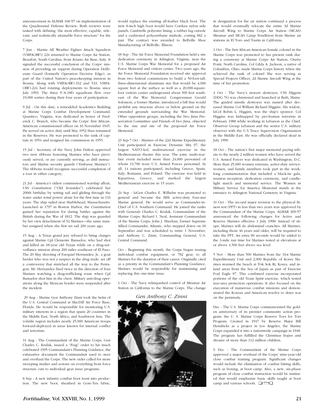announcement in ALMAR 168/97 on implementation of the Quadrennial Defense Review. Both reviews were tasked with defining "the most effective, capable, relevant, and realistically attainable force structure" for the Corps.

7 Jun - Marine All Weather Fighter Attack Squadron (VMFA(AW)) 224 returned to Marine Corps Air Station, Beaufort, South Carolina, from Aviano Air Base, Italy. It signaled the successful conclusion of the Corps' mission of providing air support during Operation Deliberate Guard (formerly Operation Decisive Edge), as part of the United Nation's peacekeeping mission in Bosnia. Along with VMFA(AW)-332 and 533, VMFA- (AW)-224 had rotating deployments to Bosnia since July 1993. The three F/A-18D squadrons flew over 19,000 sorties during their four years of participation.

9 Jul - On this date, a remodeled Academics Building at Marine Corps Combat Development Command, Quantico, Virginia, was dedicated in honor of Frederick C. Branch, who became the Corps' first African-American commissioned officer on 10 November 1945. He served on active duty until May 1952 then remained in the Reserves. He was promoted to the rank of captain in 1954 and resigned his commission in 1955.

15 Jul - Secretary of the Navy John Dalton approved two new ribbons honoring Marines who have previously served, or are currently serving, as drill instructors and Marine security guards ("Embassy Marines"). The ribbons would recognize successful completion of a tour in either category.

21 Jul - America's oldest commissioned warship afloat, USS *Constitution* ("Old Ironsides") celebrated her 200th birthday by setting sail and gliding through the water under wind power alone for the first time in 116 years. The ship sailed near Marblehead, Massachusetts. Launched in 1797 in Boston Harbor, the *Constitution* gained her reputation for daring battles against the British during the War of 1812. The ship was guarded by her own detachment of 52 Marines—the same number assigned when she first set sail 200 years ago.

15 Aug - A Texas grand jury refused to bring charges against Marine Cpl Clemente Banuelos, who had shot and killed an 18-year old Texan while on a drug-surveillance mission about 200 miles southeast of El Paso. The 20 May shooting of Esequiel Hernandez, Jr., a goat herder who was not a suspect in the drug trade, set off a controversy that stretched all the way to the Pentagon. Mr. Hernandez fired twice in the direction of four Marines watching a drug-trafficking route when Cpl Banuelos shot him in the chest. Military anti-drug operations along the Mexican border were suspended after the incident.

29 Aug - Marine Gen Anthony Zinni took the helm of the U.S. Central Command at MacDill Air Force Base, Florida. He would be responsible for monitoring U.S. military interests in a region that spans 20 countries in the Middle East, North Africa, and Southwest Asia. The volatile region includes nearly 25,000 American troops forward-deployed in areas known for internal conflict and terrorism.

31 Aug - The Commandant of the Marine Corps, Gen Charles C. Krulak, issued a "Frag" order to his much celebrated 1995 Commandant's Planning Guidance, the exhaustive document the Commandant used to steer and overhaul the Corps. The new order called for more sweeping studies and actions on everything from force structure cuts to individual gear issue programs.

8 Sep - A new infantry combat boot went into production. The new boot, sheathed in Gore-Tex fabric, would replace the existing all-leather black boot. The new 8-inch high boot would have Cordura nylon side panels, Cambrelle polyester lining, a rubber lug outsole and a cushioned polyurethane midsole, costing \$82 a pair. The contract was awarded to Bellville Shoe Manufacturing of Bellville, Illinois.

18 Sep - The Air Force Memorial Foundation held a site dedication ceremony in Arlington, Virginia, near the U.S. Marine Corps War Memorial for a proposed Air Force Memorial and visitors center. Two years ago, the Air Force Memorial Foundation received site approval from two federal commissions to build a 50-foot-tall, three-dimensional aluminum star that would be 4,000 square feet at the surface as well as a 20,000-squarefoot visitors center underground about 500 feet southeast of the War Memorial. Congressman Gerald Solomon, a former Marine, introduced a bill that would prohibit any structure above or below ground on the extended grounds surrounding the War Memorial. Other opposition groups, including the Iwo Jima Preservation Committee and Friends of Iwo Jima, objected to the size and site of the proposed Air Force Memorial.

23 Sep-7 Oct - Marines of the 22d Marine Expeditionary Unit participated in Exercise Dynamic Mix 97, the largest NATO-led, multinational exercise in the Mediterranean theatre this year. The joint, multi-warfare event included more than 24,000 personnel of whom 13,700 were U.S. Armed Forces personnel. In all, 14 nations participated, including Greece, Spain, Italy, Romania, and Poland. The exercise was held in Kiparrissa, Greece, and marked the largest Mediterranean exercise in 15 years.

24 Sep - LtGen Charles E. Wilhelm was promoted to general and became the fifth active-duty four-star Marine general. He would serve as Commander-in-Chief of U.S. Southern Command. He joined the ranks with Generals Charles C. Krulak, Commandant of the Marine Corps; Richard I. Neal, Assistant Commandant of the Marine Corps; John J. Sheehan, former Supreme Allied Commander, Atlantic, who stepped down on 18 September and was scheduled to retire 1 November; and Anthony C. Zinni, Commanding General, U.S. Central Command.

Oct - Beginning this month, the Corps began issuing individual combat equipment, or 782 gear, to all Marines for the duration of their career. Originally cited as a priority in the Commandant's Planning Guidance, Marines would be responsible for maintaining and replacing this one-time issue.

1 Oct - The Navy relinquished control of Miramar Air Station in California to the Marine Corps. The change

*Gen Anthony C. Zinni*



in designation for the air station continued a process that would eventually relocate the entire 3d Marine Aircraft Wing to Marine Corps Air Station (MCAS) Miramar and MCAS Camp Pendleton from Marine air stations in El Toro and Tustin in California.

1 Oct - The first African-American female colonel in the Marine Corps was promoted to her present rank during a ceremony at Marine Corps Air Station, Cherry Point, North Carolina. Col Gilda A. Jackson, a native of Columbus, Ohio, made Marine Corps history when she achieved the rank of colonel She was serving as Special Projects Officer, 2d Marine Aircraft Wing at the time of her promotion.

4 Oct - The Navy's newest destroyer, USS *Higgins* (DDG 76) was christened and launched at Bath, Maine. The guided missile destroyer was named after deceased Marine Col William Richard Higgins. His widow, LtCol Robin L. Higgins, was the ship's sponsor. Col Higgins was kidnapped by pro-Iranian terrorists in February 1988 while working in Lebanon as the Chief, Observer Group Lebanon and the senior U.S. military observer with the U.S Truce Supervision Organization in the Middle East. He was officially declared dead in July 1990.

18 Oct - The nation's first major memorial paying tribute to the nearly 2 million women who have served the U.S. Armed Forces was dedicated in Washington, D.C. More than 25,000 women veterans, active-duty servicewomen, and family members took part in the weeklong commemoration that included a black-tie gala, reunion reception, dedication ceremony, and candlelight march and memorial service. The Women in Military Service for America Memorial stands at the entrance to Arlington National Cemetery in Virginia.

31 Oct - The second major revision to the physical fitness test (PFT) in less than two years was approved by the Commandant of the Marine Corps. ALMAR 369/97 announced the following changes for Active and Reserve Marines effective 1 July 1998: Instead of situps, Marines will do abdominal crunches. All Marines, including those 46 years and older, will be required to take the PFT. An extra 90 seconds would be added to the 3-mile run time for Marines tested at elevations at or above 4,500 feet above sea level.

5 Nov - More than 500 Marines from the 31st Marine Expeditionary Unit and 2,000 Republic of Korea Marines stormed the beach at Tok Sok Ri, Korea, and inland areas from the Sea of Japan as part of Exercise Foal Eagle 97. This combined exercise incorporated portions of the old Team Spirit exercise, which tested rear-area protection operations. It also focused on the execution of numerous combat missions and demonstrated the Korean and American resolve to deter war on the peninsula.

Dec - The U.S. Marine Corps commemorated the golden anniversary of its premier community action program: the U. S. Marine Corps Reserve Toys for Tots Program. Created in 1947 by Reserve Major Bill Hendricks as a project in Los Angeles, the Marine Corps expanded it into a nationwide campaign in 1948. The program has fulfilled the Christmas hopes and dreams of more than 112 million children.

9 Dec - The Commandant of the Marine Corps approved a major overhaul of the Corps' nine-year-old close combat training program. Significant changes would include the elimination of combat hitting skills, such as boxing, at boot camp. Also, a new, six-phase program of close combat instruction would be instituted that would emphasize basic skills taught at boot camp and various schools. ❑*1775*❑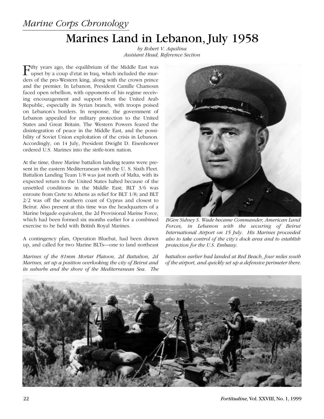### *Marine Corps Chronology*

# Marines Land in Lebanon, July 1958

*by Robert V. Aquilina Assistant Head, Reference Section*

Fifty years ago, the equilibrium of the Middle East was upset by a coup d'etat in Iraq, which included the murders of the pro-Western king, along with the crown prince and the premier. In Lebanon, President Camille Chamoun faced open rebellion, with opponents of his regime receiving encouragement and support from the United Arab Republic, especially its Syrian branch, with troops poised on Lebanon's borders. In response, the government of Lebanon appealed for military protection to the United States and Great Britain. The Western Powers feared the disintegration of peace in the Middle East, and the possibility of Soviet Union exploitation of the crisis in Lebanon. Accordingly, on 14 July, President Dwight D. Eisenhower ordered U.S. Marines into the strife-torn nation.

At the time, three Marine battalion landing teams were present in the eastern Mediterranean with the U. S. Sixth Fleet. Battalion Landing Team 1/8 was just north of Malta, with its expected return to the United States halted because of the unsettled conditions in the Middle East; BLT 3/6 was enroute from Crete to Athens as relief for BLT 1/8; and BLT 2/2 was off the southern coast of Cyprus and closest to Beirut. Also present at this time was the headquarters of a Marine brigade equivalent, the 2d Provisional Marine Force, which had been formed six months earlier for a combined exercise to be held with British Royal Marines.

A contingency plan, Operation Bluebat, had been drawn up, and called for two Marine BLTs—one to land northeast

*Marines of the 81mm Mortar Platoon, 2d Battalion, 2d Marines, set up a position overlooking the city of Beirut and its suburbs and the shore of the Mediterranean Sea. The*



*BGen Sidney S. Wade became Commander, American Land Forces, in Lebanon with the securing of Beirut International Airport on 15 July. His Marines proceeded also to take control of the city's dock area and to establish protection for the U.S. Embassy.*

*battalion earlier had landed at Red Beach, four miles south of the airport, and quickly set up a defensive perimeter there.*

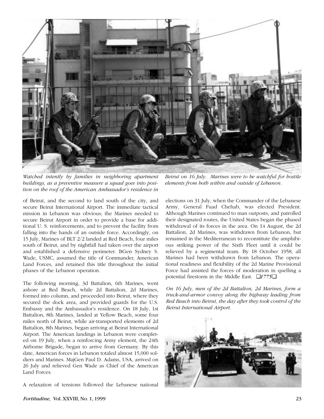

*Watched intently by families in neighboring apartment buildings, as a preventive measure a squad goes into position on the roof of the American Ambassador's residence in*

of Beirut, and the second to land south of the city, and secure Beirut International Airport. The immediate tactical mission in Lebanon was obvious; the Marines needed to secure Beirut Airport in order to provide a base for additional U. S. reinforcements, and to prevent the facility from falling into the hands of an outside force. Accordingly, on 15 July, Marines of BLT 2/2 landed at Red Beach, four miles south of Beirut, and by nightfall had taken over the airport and established a defensive perimeter. BGen Sydney S. Wade, USMC, assumed the title of Commander, American Land Forces, and retained this title throughout the initial phases of the Lebanon operation.

The following morning, 3d Battalion, 6th Marines, went ashore at Red Beach, while 2d Battalion, 2d Marines, formed into column, and proceeded into Beirut, where they secured the dock area, and provided guards for the U.S. Embassy and the Ambassador's residence. On 18 July, 1st Battalion, 8th Marines, landed at Yellow Beach, some four miles north of Beirut, while air-transported elements of 2d Battalion, 8th Marines, began arriving at Beirut International Airport. The American landings in Lebanon were completed on 19 July, when a reinforcing Army element, the 24th Airborne Brigade, began to arrive from Germany. By this date, American forces in Lebanon totaled almost 15,000 soldiers and Marines. MajGen Paul D. Adams, USA, arrived on 26 July and relieved Gen Wade as Chief of the American Land Forces.

A relaxation of tensions followed the Lebanese national

*Beirut on 16 July. Marines were to be watchful for hostile elements from both within and outside of Lebanon.*

elections on 31 July, when the Commander of the Lebanese Army, General Fuad Chehab, was elected President. Although Marines continued to man outposts, and patrolled their designated routes, the United States began the phased withdrawal of its forces in the area. On 14 August, the 2d Battalion, 2d Marines, was withdrawn from Lebanon, but remained in the Mediterranean to reconstitute the amphibious striking power of the Sixth Fleet until it could be relieved by a regimental team. By 18 October 1958, all Marines had been withdrawn from Lebanon. The operational readiness and flexibility of the 2d Marine Provisional Force had assisted the forces of moderation in quelling a potential firestorm in the Middle East. ❑*1775*❑

*On 16 July, men of the 2d Battalion, 2d Marines, form a truck-and-armor convoy along the highway leading from Red Beach into Beirut, the day after they took control of the Beirut International Airport.*